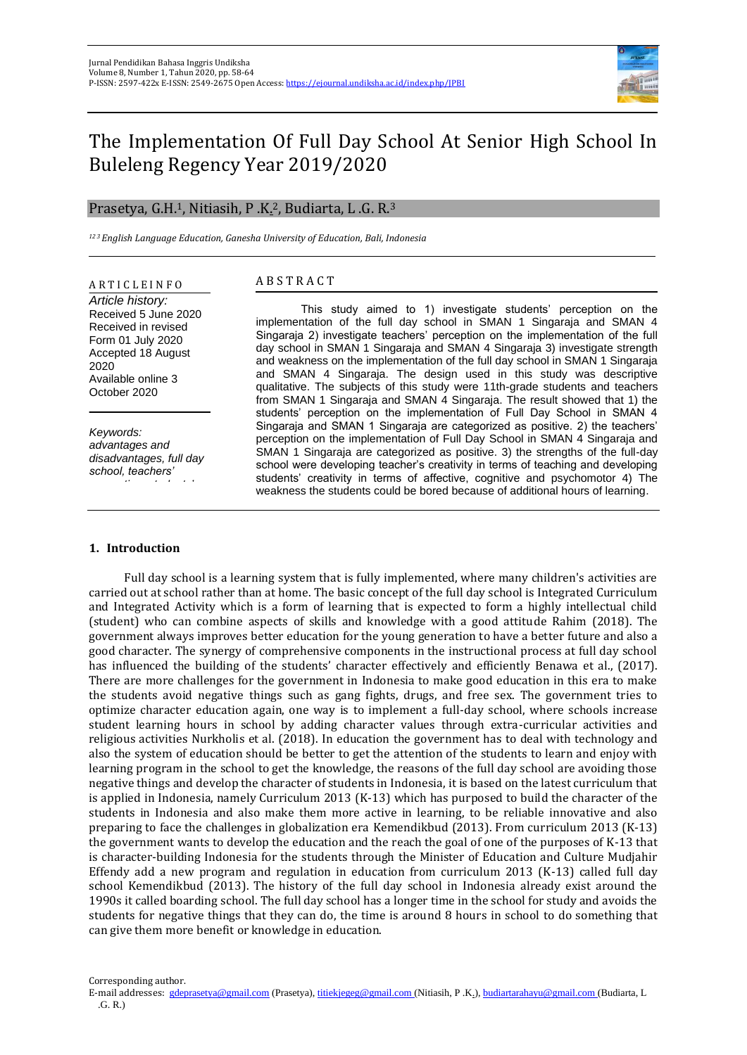

# The Implementation Of Full Day School At Senior High School In Buleleng Regency Year 2019/2020

# Prasetya, G.H.<sup>1</sup>, Nitiasih, P.K.<sup>2</sup>, Budiarta, L.G. R.<sup>3</sup>

*<sup>12</sup> <sup>3</sup>English Language Education, Ganesha University of Education, Bali, Indonesia*

## A R T I C L E I N F O *Article history:* Received 5 June 2020

Received in revised Form 01 July 2020 Accepted 18 August 2020 Available online 3 October 2020

*Keywords: advantages and disadvantages, full day school, teachers' perception, students'* 

# A B S T R A C T

This study aimed to 1) investigate students' perception on the implementation of the full day school in SMAN 1 Singaraja and SMAN 4 Singaraja 2) investigate teachers' perception on the implementation of the full day school in SMAN 1 Singaraja and SMAN 4 Singaraja 3) investigate strength and weakness on the implementation of the full day school in SMAN 1 Singaraja and SMAN 4 Singaraja. The design used in this study was descriptive qualitative. The subjects of this study were 11th-grade students and teachers from SMAN 1 Singaraja and SMAN 4 Singaraja. The result showed that 1) the students' perception on the implementation of Full Day School in SMAN 4 Singaraja and SMAN 1 Singaraja are categorized as positive. 2) the teachers' perception on the implementation of Full Day School in SMAN 4 Singaraja and SMAN 1 Singaraja are categorized as positive. 3) the strengths of the full-day school were developing teacher's creativity in terms of teaching and developing students' creativity in terms of affective, cognitive and psychomotor 4) The weakness the students could be bored because of additional hours of learning.

## **1. Introduction**

Full day school is a learning system that is fully implemented, where many children's activities are carried out at school rather than at home. The basic concept of the full day school is Integrated Curriculum and Integrated Activity which is a form of learning that is expected to form a highly intellectual child (student) who can combine aspects of skills and knowledge with a good attitude Rahim (2018). The government always improves better education for the young generation to have a better future and also a good character. The synergy of comprehensive components in the instructional process at full day school has influenced the building of the students' character effectively and efficiently Benawa et al., (2017). There are more challenges for the government in Indonesia to make good education in this era to make the students avoid negative things such as gang fights, drugs, and free sex. The government tries to optimize character education again, one way is to implement a full-day school, where schools increase student learning hours in school by adding character values through extra-curricular activities and religious activities Nurkholis et al. (2018). In education the government has to deal with technology and also the system of education should be better to get the attention of the students to learn and enjoy with learning program in the school to get the knowledge, the reasons of the full day school are avoiding those negative things and develop the character of students in Indonesia, it is based on the latest curriculum that is applied in Indonesia, namely Curriculum 2013 (K-13) which has purposed to build the character of the students in Indonesia and also make them more active in learning, to be reliable innovative and also preparing to face the challenges in globalization era Kemendikbud (2013). From curriculum 2013 (K-13) the government wants to develop the education and the reach the goal of one of the purposes of K-13 that is character-building Indonesia for the students through the Minister of Education and Culture Mudjahir Effendy add a new program and regulation in education from curriculum 2013 (K-13) called full day school Kemendikbud (2013). The history of the full day school in Indonesia already exist around the 1990s it called boarding school. The full day school has a longer time in the school for study and avoids the students for negative things that they can do, the time is around 8 hours in school to do something that can give them more benefit or knowledge in education.

E-mail addresses: [gdeprasetya@gmail.com](mailto:gdeprasetya@gmail.com) (Prasetya)[, titiekjegeg@gmail.com](mailto:titiekjegeg@gmail.com) (Nitiasih, P .K.)[, budiartarahayu@gmail.com](mailto:budiartarahayu@gmail.com) (Budiarta, L .G. R.)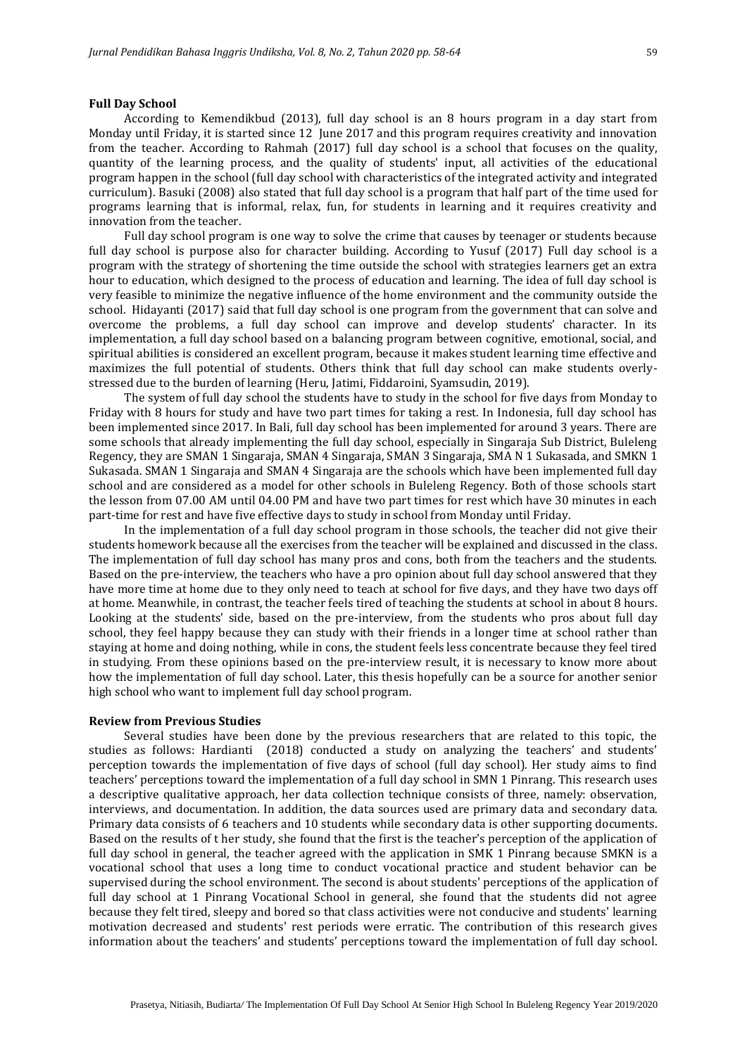#### **Full Day School**

According to Kemendikbud (2013), full day school is an 8 hours program in a day start from Monday until Friday, it is started since 12 June 2017 and this program requires creativity and innovation from the teacher. According to Rahmah (2017) full day school is a school that focuses on the quality, quantity of the learning process, and the quality of students' input, all activities of the educational program happen in the school (full day school with characteristics of the integrated activity and integrated curriculum). Basuki (2008) also stated that full day school is a program that half part of the time used for programs learning that is informal, relax, fun, for students in learning and it requires creativity and innovation from the teacher.

Full day school program is one way to solve the crime that causes by teenager or students because full day school is purpose also for character building. According to Yusuf (2017) Full day school is a program with the strategy of shortening the time outside the school with strategies learners get an extra hour to education, which designed to the process of education and learning. The idea of full day school is very feasible to minimize the negative influence of the home environment and the community outside the school. Hidayanti (2017) said that full day school is one program from the government that can solve and overcome the problems, a full day school can improve and develop students' character. In its implementation, a full day school based on a balancing program between cognitive, emotional, social, and spiritual abilities is considered an excellent program, because it makes student learning time effective and maximizes the full potential of students. Others think that full day school can make students overlystressed due to the burden of learning (Heru, Jatimi, Fiddaroini, Syamsudin, 2019).

The system of full day school the students have to study in the school for five days from Monday to Friday with 8 hours for study and have two part times for taking a rest. In Indonesia, full day school has been implemented since 2017. In Bali, full day school has been implemented for around 3 years. There are some schools that already implementing the full day school, especially in Singaraja Sub District, Buleleng Regency, they are SMAN 1 Singaraja, SMAN 4 Singaraja, SMAN 3 Singaraja, SMA N 1 Sukasada, and SMKN 1 Sukasada. SMAN 1 Singaraja and SMAN 4 Singaraja are the schools which have been implemented full day school and are considered as a model for other schools in Buleleng Regency. Both of those schools start the lesson from 07.00 AM until 04.00 PM and have two part times for rest which have 30 minutes in each part-time for rest and have five effective days to study in school from Monday until Friday.

In the implementation of a full day school program in those schools, the teacher did not give their students homework because all the exercises from the teacher will be explained and discussed in the class. The implementation of full day school has many pros and cons, both from the teachers and the students. Based on the pre-interview, the teachers who have a pro opinion about full day school answered that they have more time at home due to they only need to teach at school for five days, and they have two days off at home. Meanwhile, in contrast, the teacher feels tired of teaching the students at school in about 8 hours. Looking at the students' side, based on the pre-interview, from the students who pros about full day school, they feel happy because they can study with their friends in a longer time at school rather than staying at home and doing nothing, while in cons, the student feels less concentrate because they feel tired in studying. From these opinions based on the pre-interview result, it is necessary to know more about how the implementation of full day school. Later, this thesis hopefully can be a source for another senior high school who want to implement full day school program.

#### **Review from Previous Studies**

Several studies have been done by the previous researchers that are related to this topic, the studies as follows: Hardianti (2018) conducted a study on analyzing the teachers' and students' perception towards the implementation of five days of school (full day school). Her study aims to find teachers' perceptions toward the implementation of a full day school in SMN 1 Pinrang. This research uses a descriptive qualitative approach, her data collection technique consists of three, namely: observation, interviews, and documentation. In addition, the data sources used are primary data and secondary data. Primary data consists of 6 teachers and 10 students while secondary data is other supporting documents. Based on the results of t her study, she found that the first is the teacher's perception of the application of full day school in general, the teacher agreed with the application in SMK 1 Pinrang because SMKN is a vocational school that uses a long time to conduct vocational practice and student behavior can be supervised during the school environment. The second is about students' perceptions of the application of full day school at 1 Pinrang Vocational School in general, she found that the students did not agree because they felt tired, sleepy and bored so that class activities were not conducive and students' learning motivation decreased and students' rest periods were erratic. The contribution of this research gives information about the teachers' and students' perceptions toward the implementation of full day school.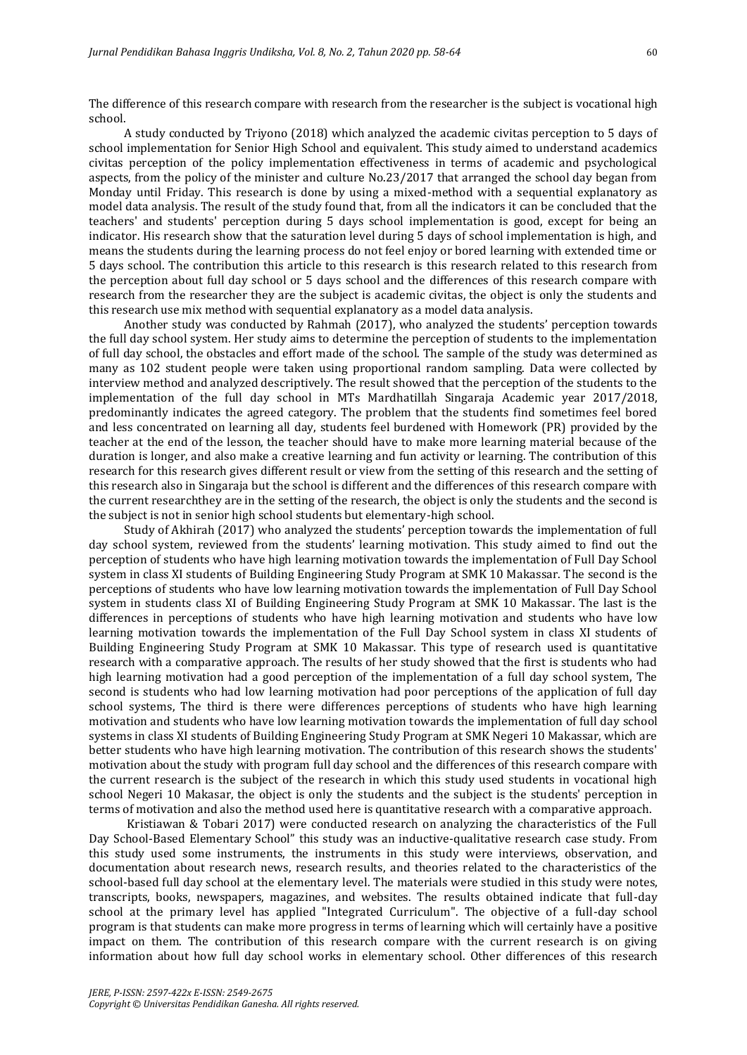The difference of this research compare with research from the researcher is the subject is vocational high school.

A study conducted by Triyono (2018) which analyzed the academic civitas perception to 5 days of school implementation for Senior High School and equivalent. This study aimed to understand academics civitas perception of the policy implementation effectiveness in terms of academic and psychological aspects, from the policy of the minister and culture No.23/2017 that arranged the school day began from Monday until Friday. This research is done by using a mixed-method with a sequential explanatory as model data analysis. The result of the study found that, from all the indicators it can be concluded that the teachers' and students' perception during 5 days school implementation is good, except for being an indicator. His research show that the saturation level during 5 days of school implementation is high, and means the students during the learning process do not feel enjoy or bored learning with extended time or 5 days school. The contribution this article to this research is this research related to this research from the perception about full day school or 5 days school and the differences of this research compare with research from the researcher they are the subject is academic civitas, the object is only the students and this research use mix method with sequential explanatory as a model data analysis.

Another study was conducted by Rahmah (2017), who analyzed the students' perception towards the full day school system. Her study aims to determine the perception of students to the implementation of full day school, the obstacles and effort made of the school. The sample of the study was determined as many as 102 student people were taken using proportional random sampling. Data were collected by interview method and analyzed descriptively. The result showed that the perception of the students to the implementation of the full day school in MTs Mardhatillah Singaraja Academic year 2017/2018, predominantly indicates the agreed category. The problem that the students find sometimes feel bored and less concentrated on learning all day, students feel burdened with Homework (PR) provided by the teacher at the end of the lesson, the teacher should have to make more learning material because of the duration is longer, and also make a creative learning and fun activity or learning. The contribution of this research for this research gives different result or view from the setting of this research and the setting of this research also in Singaraja but the school is different and the differences of this research compare with the current researchthey are in the setting of the research, the object is only the students and the second is the subject is not in senior high school students but elementary-high school.

Study of Akhirah (2017) who analyzed the students' perception towards the implementation of full day school system, reviewed from the students' learning motivation. This study aimed to find out the perception of students who have high learning motivation towards the implementation of Full Day School system in class XI students of Building Engineering Study Program at SMK 10 Makassar. The second is the perceptions of students who have low learning motivation towards the implementation of Full Day School system in students class XI of Building Engineering Study Program at SMK 10 Makassar. The last is the differences in perceptions of students who have high learning motivation and students who have low learning motivation towards the implementation of the Full Day School system in class XI students of Building Engineering Study Program at SMK 10 Makassar. This type of research used is quantitative research with a comparative approach. The results of her study showed that the first is students who had high learning motivation had a good perception of the implementation of a full day school system, The second is students who had low learning motivation had poor perceptions of the application of full day school systems, The third is there were differences perceptions of students who have high learning motivation and students who have low learning motivation towards the implementation of full day school systems in class XI students of Building Engineering Study Program at SMK Negeri 10 Makassar, which are better students who have high learning motivation. The contribution of this research shows the students' motivation about the study with program full day school and the differences of this research compare with the current research is the subject of the research in which this study used students in vocational high school Negeri 10 Makasar, the object is only the students and the subject is the students' perception in terms of motivation and also the method used here is quantitative research with a comparative approach.

Kristiawan & Tobari 2017) were conducted research on analyzing the characteristics of the Full Day School-Based Elementary School" this study was an inductive-qualitative research case study. From this study used some instruments, the instruments in this study were interviews, observation, and documentation about research news, research results, and theories related to the characteristics of the school-based full day school at the elementary level. The materials were studied in this study were notes, transcripts, books, newspapers, magazines, and websites. The results obtained indicate that full-day school at the primary level has applied "Integrated Curriculum". The objective of a full-day school program is that students can make more progress in terms of learning which will certainly have a positive impact on them. The contribution of this research compare with the current research is on giving information about how full day school works in elementary school. Other differences of this research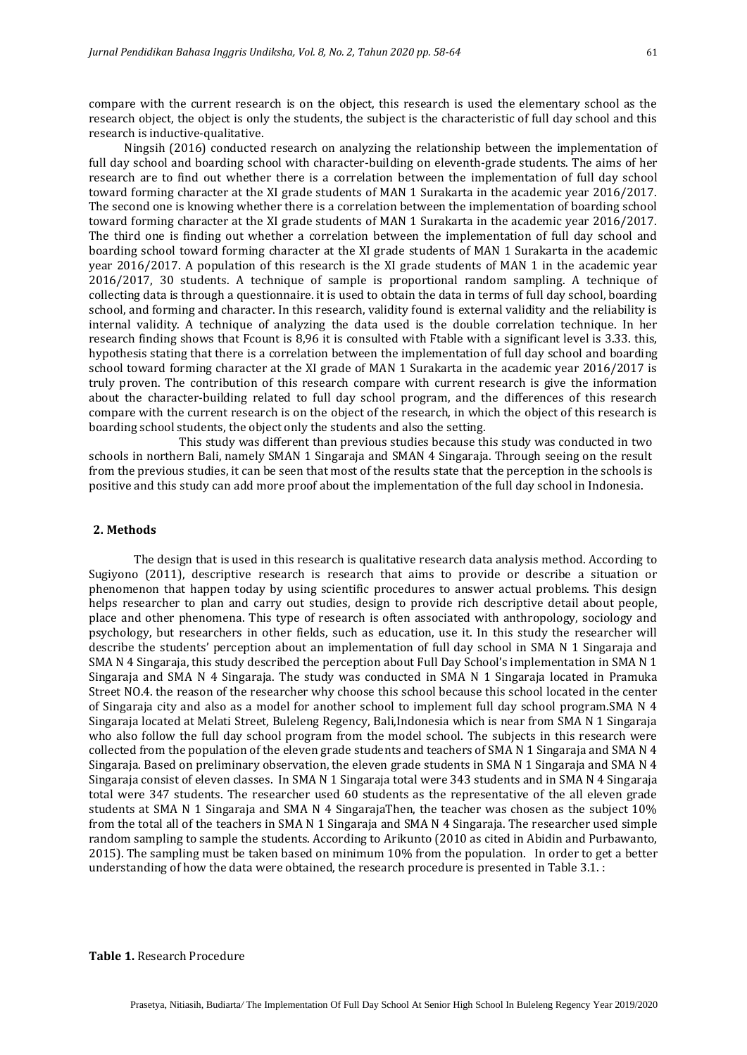compare with the current research is on the object, this research is used the elementary school as the research object, the object is only the students, the subject is the characteristic of full day school and this research is inductive-qualitative.

Ningsih (2016) conducted research on analyzing the relationship between the implementation of full day school and boarding school with character-building on eleventh-grade students. The aims of her research are to find out whether there is a correlation between the implementation of full day school toward forming character at the XI grade students of MAN 1 Surakarta in the academic year 2016/2017. The second one is knowing whether there is a correlation between the implementation of boarding school toward forming character at the XI grade students of MAN 1 Surakarta in the academic year 2016/2017. The third one is finding out whether a correlation between the implementation of full day school and boarding school toward forming character at the XI grade students of MAN 1 Surakarta in the academic year 2016/2017. A population of this research is the XI grade students of MAN 1 in the academic year 2016/2017, 30 students. A technique of sample is proportional random sampling. A technique of collecting data is through a questionnaire. it is used to obtain the data in terms of full day school, boarding school, and forming and character. In this research, validity found is external validity and the reliability is internal validity. A technique of analyzing the data used is the double correlation technique. In her research finding shows that Fcount is 8,96 it is consulted with Ftable with a significant level is 3.33. this, hypothesis stating that there is a correlation between the implementation of full day school and boarding school toward forming character at the XI grade of MAN 1 Surakarta in the academic year 2016/2017 is truly proven. The contribution of this research compare with current research is give the information about the character-building related to full day school program, and the differences of this research compare with the current research is on the object of the research, in which the object of this research is boarding school students, the object only the students and also the setting.

This study was different than previous studies because this study was conducted in two schools in northern Bali, namely SMAN 1 Singaraja and SMAN 4 Singaraja. Through seeing on the result from the previous studies, it can be seen that most of the results state that the perception in the schools is positive and this study can add more proof about the implementation of the full day school in Indonesia.

### **2. Methods**

The design that is used in this research is qualitative research data analysis method. According to Sugiyono (2011), descriptive research is research that aims to provide or describe a situation or phenomenon that happen today by using scientific procedures to answer actual problems. This design helps researcher to plan and carry out studies, design to provide rich descriptive detail about people, place and other phenomena. This type of research is often associated with anthropology, sociology and psychology, but researchers in other fields, such as education, use it. In this study the researcher will describe the students' perception about an implementation of full day school in SMA N 1 Singaraja and SMA N 4 Singaraja, this study described the perception about Full Day School's implementation in SMA N 1 Singaraja and SMA N 4 Singaraja. The study was conducted in SMA N 1 Singaraja located in Pramuka Street NO.4. the reason of the researcher why choose this school because this school located in the center of Singaraja city and also as a model for another school to implement full day school program.SMA N 4 Singaraja located at Melati Street, Buleleng Regency, Bali,Indonesia which is near from SMA N 1 Singaraja who also follow the full day school program from the model school. The subjects in this research were collected from the population of the eleven grade students and teachers of SMA N 1 Singaraja and SMA N 4 Singaraja. Based on preliminary observation, the eleven grade students in SMA N 1 Singaraja and SMA N 4 Singaraja consist of eleven classes. In SMA N 1 Singaraja total were 343 students and in SMA N 4 Singaraja total were 347 students. The researcher used 60 students as the representative of the all eleven grade students at SMA N 1 Singaraja and SMA N 4 SingarajaThen, the teacher was chosen as the subject 10% from the total all of the teachers in SMA N 1 Singaraja and SMA N 4 Singaraja. The researcher used simple random sampling to sample the students. According to Arikunto (2010 as cited in Abidin and Purbawanto, 2015). The sampling must be taken based on minimum 10% from the population. In order to get a better understanding of how the data were obtained, the research procedure is presented in Table 3.1. :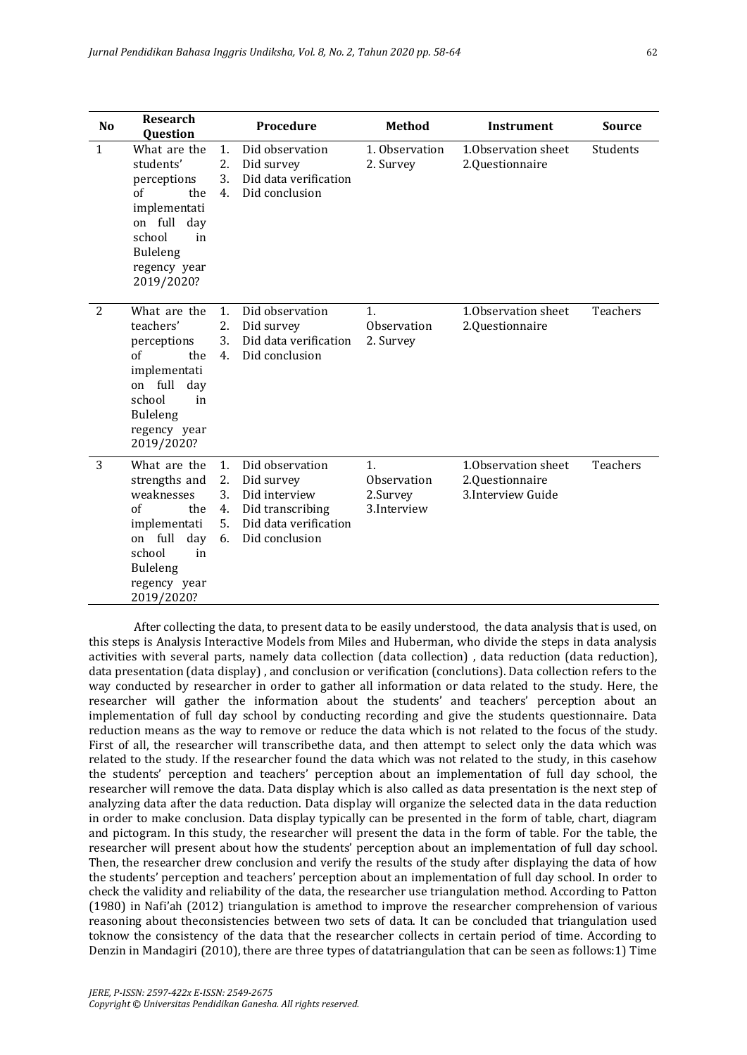| N <sub>o</sub> | <b>Research</b><br>Question                                                                                                                                 |                                  | Procedure                                                                                                     | <b>Method</b>                                | Instrument                                                   | <b>Source</b> |
|----------------|-------------------------------------------------------------------------------------------------------------------------------------------------------------|----------------------------------|---------------------------------------------------------------------------------------------------------------|----------------------------------------------|--------------------------------------------------------------|---------------|
| $\mathbf{1}$   | What are the<br>students'<br>perceptions<br>of<br>the<br>implementati<br>on full day<br>school<br>in<br><b>Buleleng</b><br>regency year<br>2019/2020?       | 1.<br>2.<br>3.<br>4.             | Did observation<br>Did survey<br>Did data verification<br>Did conclusion                                      | 1. Observation<br>2. Survey                  | 1.0bservation sheet<br>2.Questionnaire                       | Students      |
| 2              | What are the<br>teachers'<br>perceptions<br>of<br>the<br>implementati<br>on full<br>day<br>school<br>in<br><b>Buleleng</b><br>regency year<br>2019/2020?    | 1.<br>2.<br>3.<br>4.             | Did observation<br>Did survey<br>Did data verification<br>Did conclusion                                      | 1.<br>Observation<br>2. Survey               | 1.0bservation sheet<br>2.Questionnaire                       | Teachers      |
| 3              | What are the<br>strengths and<br>weaknesses<br>of<br>the<br>implementati<br>on full<br>day<br>school<br>in<br><b>Buleleng</b><br>regency year<br>2019/2020? | 1.<br>2.<br>3.<br>4.<br>5.<br>6. | Did observation<br>Did survey<br>Did interview<br>Did transcribing<br>Did data verification<br>Did conclusion | 1.<br>Observation<br>2.Survey<br>3.Interview | 1.0bservation sheet<br>2.Questionnaire<br>3. Interview Guide | Teachers      |

After collecting the data, to present data to be easily understood, the data analysis that is used, on this steps is Analysis Interactive Models from Miles and Huberman, who divide the steps in data analysis activities with several parts, namely data collection (data collection) , data reduction (data reduction), data presentation (data display) , and conclusion or verification (conclutions). Data collection refers to the way conducted by researcher in order to gather all information or data related to the study. Here, the researcher will gather the information about the students' and teachers' perception about an implementation of full day school by conducting recording and give the students questionnaire. Data reduction means as the way to remove or reduce the data which is not related to the focus of the study. First of all, the researcher will transcribethe data, and then attempt to select only the data which was related to the study. If the researcher found the data which was not related to the study, in this casehow the students' perception and teachers' perception about an implementation of full day school, the researcher will remove the data. Data display which is also called as data presentation is the next step of analyzing data after the data reduction. Data display will organize the selected data in the data reduction in order to make conclusion. Data display typically can be presented in the form of table, chart, diagram and pictogram. In this study, the researcher will present the data in the form of table. For the table, the researcher will present about how the students' perception about an implementation of full day school. Then, the researcher drew conclusion and verify the results of the study after displaying the data of how the students' perception and teachers' perception about an implementation of full day school. In order to check the validity and reliability of the data, the researcher use triangulation method. According to Patton (1980) in Nafi'ah (2012) triangulation is amethod to improve the researcher comprehension of various reasoning about theconsistencies between two sets of data. It can be concluded that triangulation used toknow the consistency of the data that the researcher collects in certain period of time. According to Denzin in Mandagiri (2010), there are three types of datatriangulation that can be seen as follows:1) Time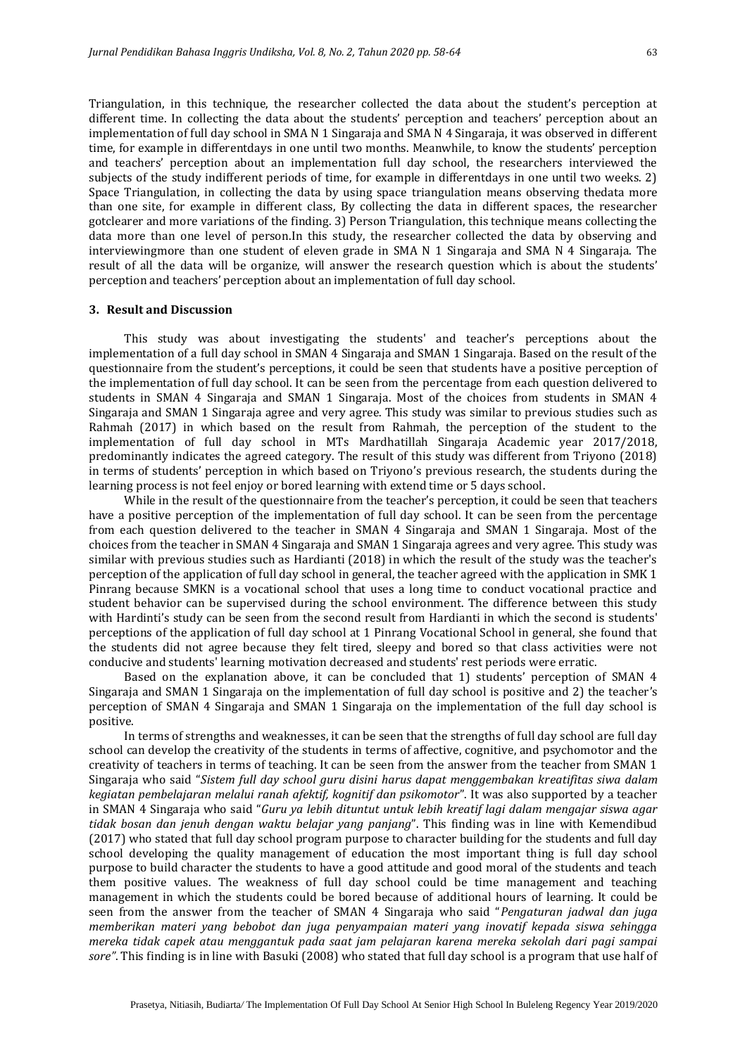Triangulation, in this technique, the researcher collected the data about the student's perception at different time. In collecting the data about the students' perception and teachers' perception about an implementation of full day school in SMA N 1 Singaraja and SMA N 4 Singaraja, it was observed in different time, for example in differentdays in one until two months. Meanwhile, to know the students' perception and teachers' perception about an implementation full day school, the researchers interviewed the subjects of the study indifferent periods of time, for example in differentdays in one until two weeks. 2) Space Triangulation, in collecting the data by using space triangulation means observing thedata more than one site, for example in different class, By collecting the data in different spaces, the researcher gotclearer and more variations of the finding. 3) Person Triangulation, this technique means collecting the data more than one level of person.In this study, the researcher collected the data by observing and interviewingmore than one student of eleven grade in SMA N 1 Singaraja and SMA N 4 Singaraja. The result of all the data will be organize, will answer the research question which is about the students' perception and teachers' perception about an implementation of full day school.

#### **3. Result and Discussion**

This study was about investigating the students' and teacher's perceptions about the implementation of a full day school in SMAN 4 Singaraja and SMAN 1 Singaraja. Based on the result of the questionnaire from the student's perceptions, it could be seen that students have a positive perception of the implementation of full day school. It can be seen from the percentage from each question delivered to students in SMAN 4 Singaraja and SMAN 1 Singaraja. Most of the choices from students in SMAN 4 Singaraja and SMAN 1 Singaraja agree and very agree. This study was similar to previous studies such as Rahmah (2017) in which based on the result from Rahmah, the perception of the student to the implementation of full day school in MTs Mardhatillah Singaraja Academic year 2017/2018, predominantly indicates the agreed category. The result of this study was different from Triyono (2018) in terms of students' perception in which based on Triyono's previous research, the students during the learning process is not feel enjoy or bored learning with extend time or 5 days school.

While in the result of the questionnaire from the teacher's perception, it could be seen that teachers have a positive perception of the implementation of full day school. It can be seen from the percentage from each question delivered to the teacher in SMAN 4 Singaraja and SMAN 1 Singaraja. Most of the choices from the teacher in SMAN 4 Singaraja and SMAN 1 Singaraja agrees and very agree. This study was similar with previous studies such as Hardianti (2018) in which the result of the study was the teacher's perception of the application of full day school in general, the teacher agreed with the application in SMK 1 Pinrang because SMKN is a vocational school that uses a long time to conduct vocational practice and student behavior can be supervised during the school environment. The difference between this study with Hardinti's study can be seen from the second result from Hardianti in which the second is students' perceptions of the application of full day school at 1 Pinrang Vocational School in general, she found that the students did not agree because they felt tired, sleepy and bored so that class activities were not conducive and students' learning motivation decreased and students' rest periods were erratic.

Based on the explanation above, it can be concluded that 1) students' perception of SMAN 4 Singaraja and SMAN 1 Singaraja on the implementation of full day school is positive and 2) the teacher's perception of SMAN 4 Singaraja and SMAN 1 Singaraja on the implementation of the full day school is positive.

In terms of strengths and weaknesses, it can be seen that the strengths of full day school are full day school can develop the creativity of the students in terms of affective, cognitive, and psychomotor and the creativity of teachers in terms of teaching. It can be seen from the answer from the teacher from SMAN 1 Singaraja who said "*Sistem full day school guru disini harus dapat menggembakan kreatifitas siwa dalam kegiatan pembelajaran melalui ranah afektif, kognitif dan psikomotor*". It was also supported by a teacher in SMAN 4 Singaraja who said "*Guru ya lebih dituntut untuk lebih kreatif lagi dalam mengajar siswa agar tidak bosan dan jenuh dengan waktu belajar yang panjang*". This finding was in line with Kemendibud (2017) who stated that full day school program purpose to character building for the students and full day school developing the quality management of education the most important thing is full day school purpose to build character the students to have a good attitude and good moral of the students and teach them positive values. The weakness of full day school could be time management and teaching management in which the students could be bored because of additional hours of learning. It could be seen from the answer from the teacher of SMAN 4 Singaraja who said "*Pengaturan jadwal dan juga memberikan materi yang bebobot dan juga penyampaian materi yang inovatif kepada siswa sehingga mereka tidak capek atau menggantuk pada saat jam pelajaran karena mereka sekolah dari pagi sampai sore"*. This finding is in line with Basuki (2008) who stated that full day school is a program that use half of